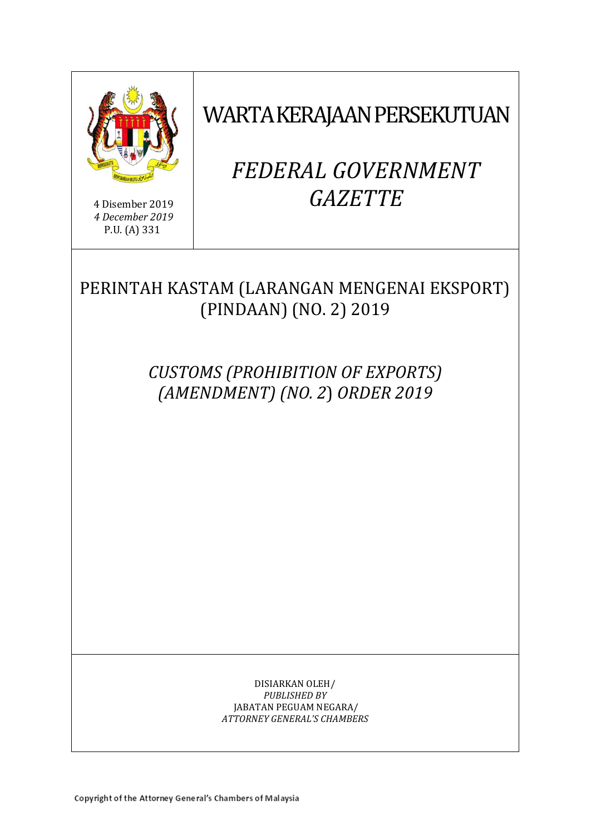

4 Disember 2019 *4 December 2019* P.U. (A) 331

WARTA KERAJAAN PERSEKUTUAN

# *FEDERAL GOVERNMENT GAZETTE*

# PERINTAH KASTAM (LARANGAN MENGENAI EKSPORT) (PINDAAN) (NO. 2) 2019

*CUSTOMS (PROHIBITION OF EXPORTS) (AMENDMENT) (NO. 2*) *ORDER 2019*

> DISIARKAN OLEH/ *PUBLISHED BY* JABATAN PEGUAM NEGARA/ *ATTORNEY GENERAL'S CHAMBERS*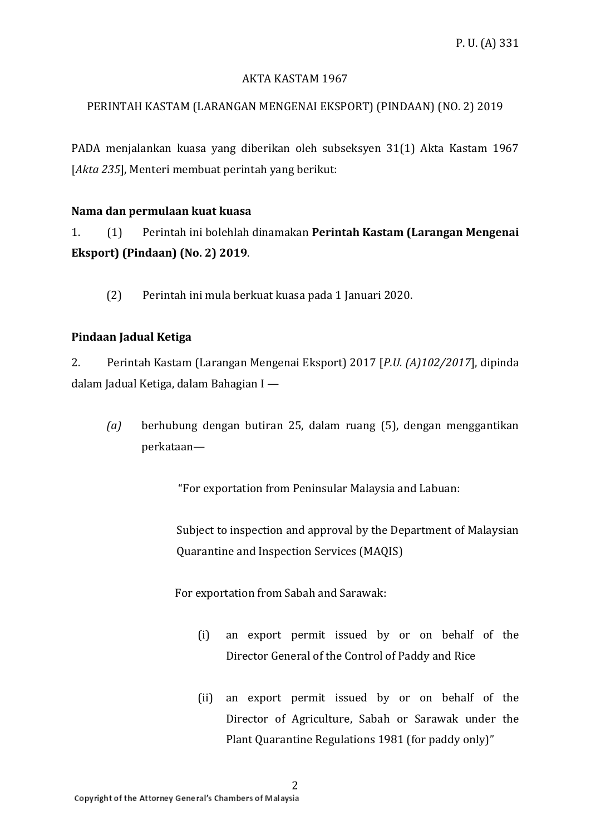#### AKTA KASTAM 1967

### PERINTAH KASTAM (LARANGAN MENGENAI EKSPORT) (PINDAAN) (NO. 2) 2019

PADA menjalankan kuasa yang diberikan oleh subseksyen 31(1) Akta Kastam 1967 [*Akta 235*], Menteri membuat perintah yang berikut:

#### **Nama dan permulaan kuat kuasa**

1. (1) Perintah ini bolehlah dinamakan **Perintah Kastam (Larangan Mengenai Eksport) (Pindaan) (No. 2) 2019**.

(2) Perintah ini mula berkuat kuasa pada 1 Januari 2020.

#### **Pindaan Jadual Ketiga**

2. Perintah Kastam (Larangan Mengenai Eksport) 2017 [*P.U. (A)102/2017*], dipinda dalam Jadual Ketiga, dalam Bahagian I —

*(a)* berhubung dengan butiran 25, dalam ruang (5), dengan menggantikan perkataan—

"For exportation from Peninsular Malaysia and Labuan:

Subject to inspection and approval by the Department of Malaysian Quarantine and Inspection Services (MAQIS)

For exportation from Sabah and Sarawak:

- (i) an export permit issued by or on behalf of the Director General of the Control of Paddy and Rice
- (ii) an export permit issued by or on behalf of the Director of Agriculture, Sabah or Sarawak under the Plant Quarantine Regulations 1981 (for paddy only)"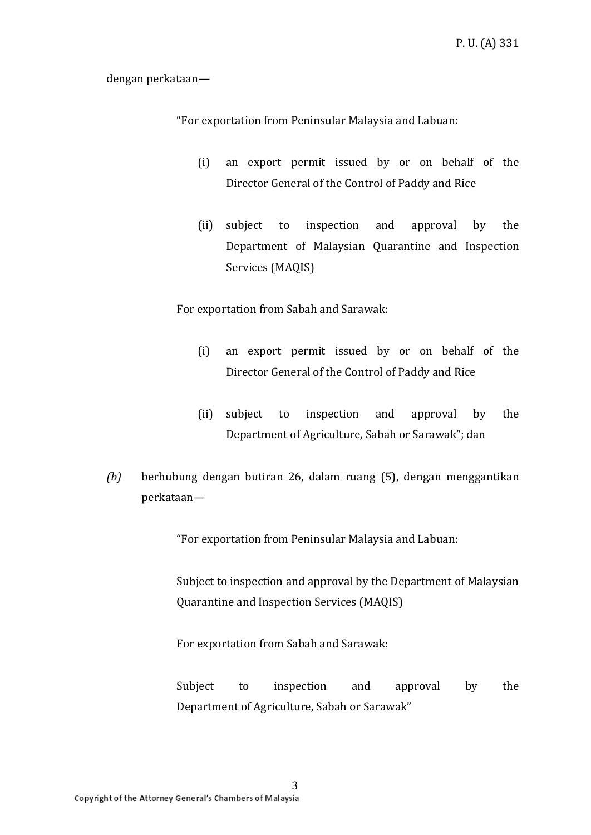dengan perkataan—

"For exportation from Peninsular Malaysia and Labuan:

- (i) an export permit issued by or on behalf of the Director General of the Control of Paddy and Rice
- (ii) subject to inspection and approval by the Department of Malaysian Quarantine and Inspection Services (MAQIS)

For exportation from Sabah and Sarawak:

- (i) an export permit issued by or on behalf of the Director General of the Control of Paddy and Rice
- (ii) subject to inspection and approval by the Department of Agriculture, Sabah or Sarawak"; dan
- *(b)* berhubung dengan butiran 26, dalam ruang (5), dengan menggantikan perkataan—

"For exportation from Peninsular Malaysia and Labuan:

Subject to inspection and approval by the Department of Malaysian Quarantine and Inspection Services (MAQIS)

For exportation from Sabah and Sarawak:

Subject to inspection and approval by the Department of Agriculture, Sabah or Sarawak"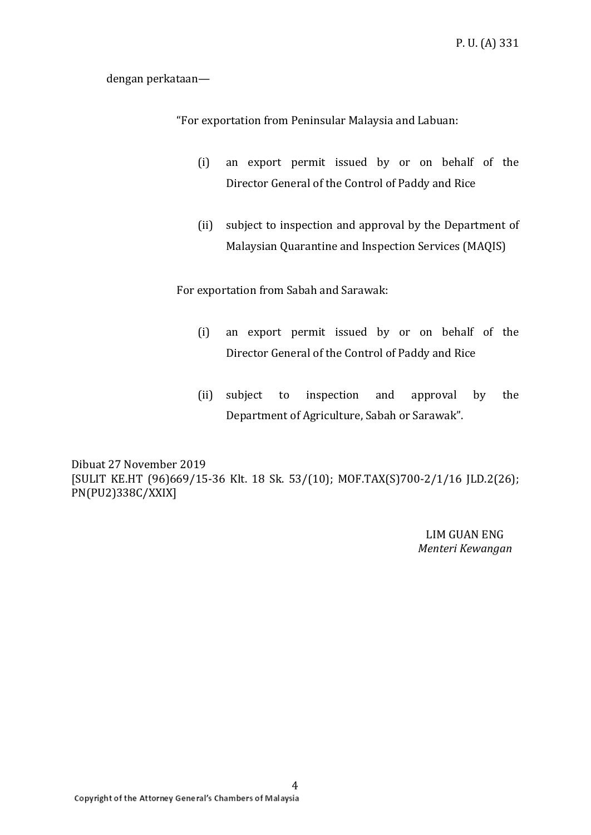dengan perkataan—

"For exportation from Peninsular Malaysia and Labuan:

- (i) an export permit issued by or on behalf of the Director General of the Control of Paddy and Rice
- (ii) subject to inspection and approval by the Department of Malaysian Quarantine and Inspection Services (MAQIS)

For exportation from Sabah and Sarawak:

- (i) an export permit issued by or on behalf of the Director General of the Control of Paddy and Rice
- (ii) subject to inspection and approval by the Department of Agriculture, Sabah or Sarawak".

Dibuat 27 November 2019 [SULIT KE.HT (96)669/15-36 Klt. 18 Sk. 53/(10); MOF.TAX(S)700-2/1/16 JLD.2(26); PN(PU2)338C/XXIX]

> LIM GUAN ENG *Menteri Kewangan*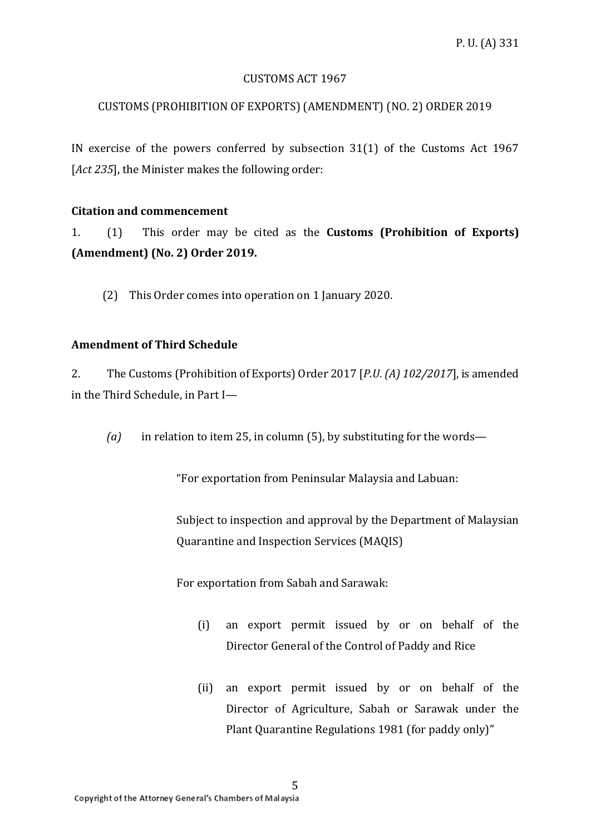#### CUSTOMS ACT 1967

# CUSTOMS (PROHIBITION OF EXPORTS) (AMENDMENT) (NO. 2) ORDER 2019

IN exercise of the powers conferred by subsection 31(1) of the Customs Act 1967 [*Act 235*], the Minister makes the following order:

#### **Citation and commencement**

1. (1) This order may be cited as the **Customs (Prohibition of Exports) (Amendment) (No. 2) Order 2019.**

(2) This Order comes into operation on 1 January 2020.

# **Amendment of Third Schedule**

2. The Customs (Prohibition of Exports) Order 2017 [*P.U. (A) 102/2017*], is amended in the Third Schedule, in Part I—

*(a)* in relation to item 25, in column (5), by substituting for the words—

"For exportation from Peninsular Malaysia and Labuan:

Subject to inspection and approval by the Department of Malaysian Quarantine and Inspection Services (MAQIS)

For exportation from Sabah and Sarawak:

- (i) an export permit issued by or on behalf of the Director General of the Control of Paddy and Rice
- (ii) an export permit issued by or on behalf of the Director of Agriculture, Sabah or Sarawak under the Plant Quarantine Regulations 1981 (for paddy only)"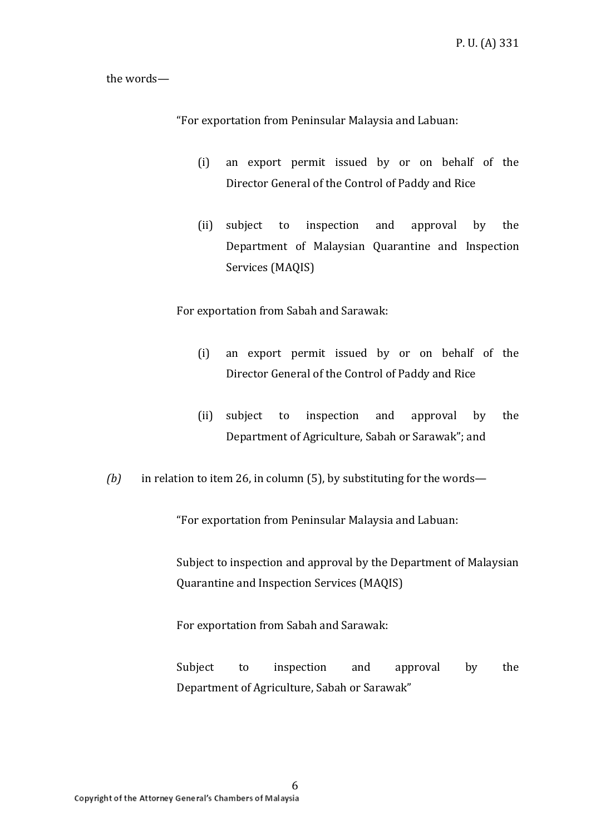the words—

"For exportation from Peninsular Malaysia and Labuan:

- (i) an export permit issued by or on behalf of the Director General of the Control of Paddy and Rice
- (ii) subject to inspection and approval by the Department of Malaysian Quarantine and Inspection Services (MAQIS)

For exportation from Sabah and Sarawak:

- (i) an export permit issued by or on behalf of the Director General of the Control of Paddy and Rice
- (ii) subject to inspection and approval by the Department of Agriculture, Sabah or Sarawak"; and
- *(b)* in relation to item 26, in column (5), by substituting for the words—

"For exportation from Peninsular Malaysia and Labuan:

Subject to inspection and approval by the Department of Malaysian Quarantine and Inspection Services (MAQIS)

For exportation from Sabah and Sarawak:

Subject to inspection and approval by the Department of Agriculture, Sabah or Sarawak"